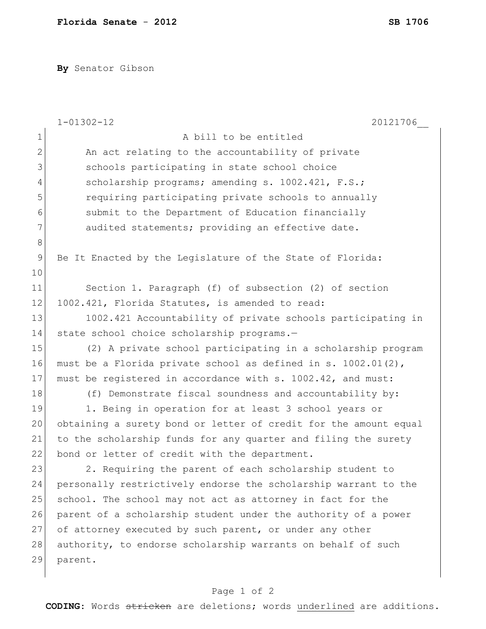**By** Senator Gibson

|              | $1 - 01302 - 12$<br>20121706                                     |
|--------------|------------------------------------------------------------------|
| $1\,$        | A bill to be entitled                                            |
| $\mathbf{2}$ | An act relating to the accountability of private                 |
| 3            | schools participating in state school choice                     |
| 4            | scholarship programs; amending s. 1002.421, F.S.;                |
| 5            | requiring participating private schools to annually              |
| 6            | submit to the Department of Education financially                |
| 7            | audited statements; providing an effective date.                 |
| $8\,$        |                                                                  |
| 9            | Be It Enacted by the Legislature of the State of Florida:        |
| 10           |                                                                  |
| 11           | Section 1. Paragraph (f) of subsection (2) of section            |
| 12           | 1002.421, Florida Statutes, is amended to read:                  |
| 13           | 1002.421 Accountability of private schools participating in      |
| 14           | state school choice scholarship programs.-                       |
| 15           | (2) A private school participating in a scholarship program      |
| 16           | must be a Florida private school as defined in s. 1002.01(2),    |
| 17           | must be registered in accordance with s. 1002.42, and must:      |
| 18           | (f) Demonstrate fiscal soundness and accountability by:          |
| 19           | 1. Being in operation for at least 3 school years or             |
| 20           | obtaining a surety bond or letter of credit for the amount equal |
| 21           | to the scholarship funds for any quarter and filing the surety   |
| 22           | bond or letter of credit with the department.                    |
| 23           | 2. Requiring the parent of each scholarship student to           |
| 24           | personally restrictively endorse the scholarship warrant to the  |
| 25           | school. The school may not act as attorney in fact for the       |
| 26           | parent of a scholarship student under the authority of a power   |
| 27           | of attorney executed by such parent, or under any other          |
| 28           | authority, to endorse scholarship warrants on behalf of such     |
| 29           | parent.                                                          |
|              |                                                                  |

## Page 1 of 2

**CODING**: Words stricken are deletions; words underlined are additions.